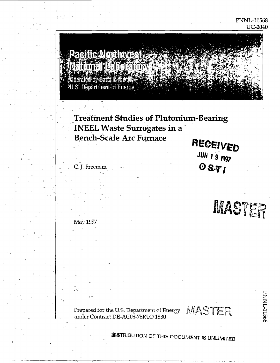PNNL-11568 UC-2040



**Treatment Studies of Plutonium-Bearing INEEL Waste Surrogates in a Bench-Scale Arc Furnace** RECEIVED

C. J: Freeman

**JUN 1 9 1997**  $0s_{T}$ 

MASTER

May 1997

Prepared for the U.S. Department of Energy **p/j ASTER** under Contract DE-AC06-76RLO 1830

**HISTRIBUTION OF THIS DOCUMENT IS UNLIMITED**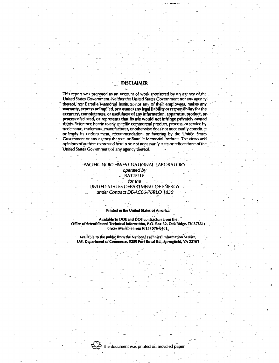#### **\_ DISCLAIMER**

This report was prepared as an account of work sponsored by an agency of the United States Government.Neither the United States Government nor any agency thereof, nor Battelle Memorial Institute; nor any of their employees, makes any warranty, express or implied, or assumes any legal liability or responsibility for the. accuracy, completeness, or usefulness of any information, apparatus, product, or process disclosed, or represents that its use would not infringe privately owned rights. Reference herein to any specific commercial product, process, or service by trade name, trademark, manufacturer, or otherwise does not necessarily constitute or imply its endorsement, recommendation, or favoring by the United States Government or any agency thereof, or Battelle Memorial Institute. The views and opinions of authors expressed herein do not necessarily state or reflect those of the United States Government or any agency thereof.

#### PACIFIC NORTHWEST NATIONAL LABORATORY *operated by* r **BATTELLE** for the UNITED STATES DEPARTMENT OF ENERGY under Contract DE-AC06-76RLO 1830

#### **Printed in the United States of America ~**

**- .. \_—• - ' Available to DOE and DOE contractorsfrom the Office of Scientific and Technical Information, P.O. Box 62, Oak Ridge, TN 37831; prices available from (615) 576-8401.**

**Available to the public from the National Technical Information Service, US. Department of Commerce, 5285 Port Royal Rd., Springfield, VA 22161**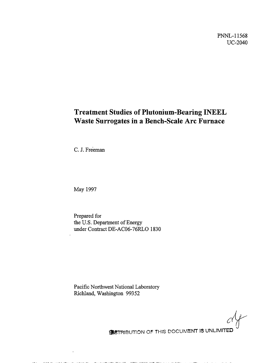PNNL-11568 UC-2040

# **Treatment Studies of Plutonium-Bearing INEEL Waste Surrogates in a Bench-Scale Arc Furnace**

C. J. Freeman

May 1997

Prepared for the U.S. Department of Energy under Contract DE-AC06-76RLO 1830

Pacific Northwest National Laboratory Richland, Washington 99352

**New York Committee Committee Committee Committee** 

and measured the and

 $\sim$ 

**BUSTRIBUTION OF THIS DOCUMENT IS UNLIMITED** 

**TERRIAR STORE SERVICES IN THE PERMIT**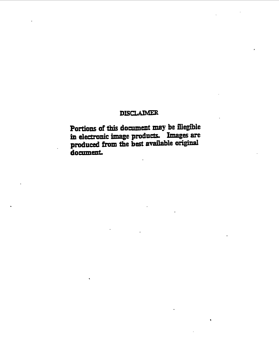## **DISCLAIMER**

**Portions of this doaiment may be illegible in electronic image products. Images are produced from the best available original** document.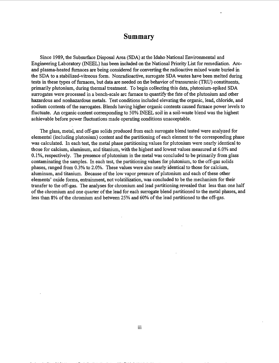#### **Summary**

Since 1989, the Subsurface Disposal Area (SDA) at the Idaho National Environmental and Engineering Laboratory (INEEL) has been included on the National Priority List for remediation. Arcand plasma-heated furnaces are being considered for converting the radioactive mixed waste buried in the SDA to a stabilized-vitreous form. Nonradioactive, surrogate SDA wastes have been melted during tests in these types of furnaces, but data are needed on the behavior of transuranic (TRU) constituents, primarily plutonium, during thermal treatment. To begin collecting this data, plutonium-spiked SDA surrogates were processed in a bench-scale arc furnace to quantify the fate of the plutonium and other hazardous and nonhazardous metals. Test conditions included elevating the organic, lead, chloride, and sodium contents of the surrogates. Blends having higher organic contents caused furnace power levels to fluctuate. An organic content corresponding to 50% INEEL soil in a soil-waste blend was the highest achievable before power fluctuations made operating conditions unacceptable.

The glass, metal, and off-gas solids produced from each surrogate blend tested were analyzed for elemental (including plutonium) content and the partitioning of each element to the corresponding phase was calculated. In each test, the metal phase partitioning values for plutonium were nearly identical to those for calcium, aluminum, and titanium, with the highest and lowest values measured at 6.0% and 0.1%, respectively. The presence of plutonium in the metal was concluded to be primarily from glass contaminating the samples. In each test, the partitioning values for plutonium, to the off-gas solids phases, ranged from 0.3% to 2.0%. These values were also nearly identical to those for calcium, aluminum, and titanium. Because of the low vapor pressure of plutonium and each of these other elements' oxide forms, entrainment, not volatilization, was concluded to be the mechanism for their transfer to the off-gas. The analyses for chromium and lead partitioning revealed that less than one half of the chromium and one quarter of the lead for each surrogate blend partitioned to the metal phases, and less than 8% of the chromium and between 25% and 60% of the lead partitioned to the off-gas.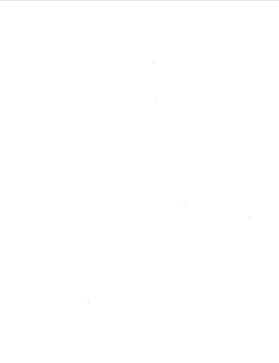$\label{eq:2.1} \frac{1}{\sqrt{2}}\int_{\mathbb{R}^3}\frac{1}{\sqrt{2}}\left(\frac{1}{\sqrt{2}}\right)^2\frac{1}{\sqrt{2}}\left(\frac{1}{\sqrt{2}}\right)^2\frac{1}{\sqrt{2}}\left(\frac{1}{\sqrt{2}}\right)^2\frac{1}{\sqrt{2}}\left(\frac{1}{\sqrt{2}}\right)^2.$  $\label{eq:2.1} \frac{1}{\sqrt{2}}\int_{\mathbb{R}^3}\frac{1}{\sqrt{2}}\left(\frac{1}{\sqrt{2}}\right)^2\frac{1}{\sqrt{2}}\left(\frac{1}{\sqrt{2}}\right)^2\frac{1}{\sqrt{2}}\left(\frac{1}{\sqrt{2}}\right)^2\frac{1}{\sqrt{2}}\left(\frac{1}{\sqrt{2}}\right)^2.$  $\mathcal{L}^{\mathcal{L}}(\mathcal{L}^{\mathcal{L}})$  and  $\mathcal{L}^{\mathcal{L}}(\mathcal{L}^{\mathcal{L}})$  and  $\mathcal{L}^{\mathcal{L}}(\mathcal{L}^{\mathcal{L}})$  $\mathcal{L}(\mathcal{L}(\mathcal{L}(\mathcal{L}(\mathcal{L}(\mathcal{L}(\mathcal{L}(\mathcal{L}(\mathcal{L}(\mathcal{L}(\mathcal{L}(\mathcal{L}(\mathcal{L}(\mathcal{L}(\mathcal{L}(\mathcal{L}(\mathcal{L}(\mathcal{L}(\mathcal{L}(\mathcal{L}(\mathcal{L}(\mathcal{L}(\mathcal{L}(\mathcal{L}(\mathcal{L}(\mathcal{L}(\mathcal{L}(\mathcal{L}(\mathcal{L}(\mathcal{L}(\mathcal{L}(\mathcal{L}(\mathcal{L}(\mathcal{L}(\mathcal{L}(\mathcal{L}(\mathcal{$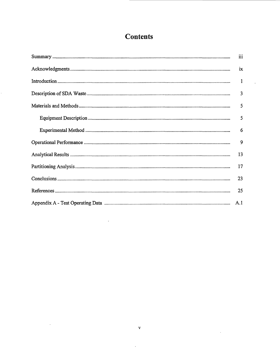# **Contents**

| $\,$ iii |
|----------|
| ix       |
| 1        |
| 3        |
| 5        |
| 5        |
| 6        |
| 9        |
| 13       |
| 17       |
| 23       |
| 25       |
|          |

 $\ddot{\phantom{a}}$ 

 $\ddot{\phantom{a}}$ 

 $\hat{\mathcal{A}}$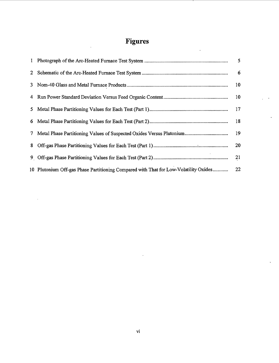# Figures

|                                                                                         | 10 |
|-----------------------------------------------------------------------------------------|----|
|                                                                                         | 10 |
|                                                                                         |    |
|                                                                                         |    |
|                                                                                         |    |
|                                                                                         |    |
|                                                                                         | 21 |
| 10 Plutonium Off-gas Phase Partitioning Compared with That for Low-Volatility Oxides 22 |    |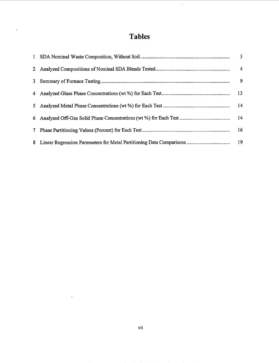# **Tables**

 $\sim 10^{-10}$ 

 $\frac{1}{2}$ 

|  | 9  |
|--|----|
|  |    |
|  |    |
|  |    |
|  | 16 |
|  |    |

 $\mathcal{L}^{\text{max}}$  ,  $\mathcal{L}^{\text{max}}$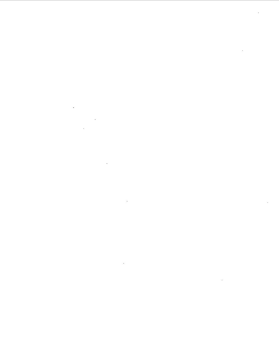$\mathcal{L}^{\text{max}}_{\text{max}}$  , where  $\mathcal{L}^{\text{max}}_{\text{max}}$  $\label{eq:2.1} \frac{1}{\sqrt{2}}\int_{\mathbb{R}^3}\frac{1}{\sqrt{2}}\left(\frac{1}{\sqrt{2}}\right)^2\frac{1}{\sqrt{2}}\left(\frac{1}{\sqrt{2}}\right)^2\frac{1}{\sqrt{2}}\left(\frac{1}{\sqrt{2}}\right)^2\frac{1}{\sqrt{2}}\left(\frac{1}{\sqrt{2}}\right)^2.$  $\mathcal{L}^{\mathcal{L}}(\mathcal{L}^{\mathcal{L}})$  and  $\mathcal{L}^{\mathcal{L}}(\mathcal{L}^{\mathcal{L}})$  . In the case of  $\label{eq:2.1} \frac{1}{\sqrt{2}}\int_{\mathbb{R}^3}\frac{1}{\sqrt{2}}\left(\frac{1}{\sqrt{2}}\right)^2\frac{1}{\sqrt{2}}\left(\frac{1}{\sqrt{2}}\right)^2\frac{1}{\sqrt{2}}\left(\frac{1}{\sqrt{2}}\right)^2\frac{1}{\sqrt{2}}\left(\frac{1}{\sqrt{2}}\right)^2.$  $\mathcal{L}^{\mathcal{L}}(\mathcal{L}^{\mathcal{L}})$  and  $\mathcal{L}^{\mathcal{L}}(\mathcal{L}^{\mathcal{L}})$  . In the case of  $\mathcal{L}^{\mathcal{L}}$ 

 $\mathcal{L}^{\mathcal{L}}(\mathcal{L}^{\mathcal{L}})$  and  $\mathcal{L}^{\mathcal{L}}(\mathcal{L}^{\mathcal{L}})$  and  $\mathcal{L}^{\mathcal{L}}(\mathcal{L}^{\mathcal{L}})$  $\mathcal{L}^{\mathcal{L}}(\mathcal{L}^{\mathcal{L}})$  and  $\mathcal{L}^{\mathcal{L}}(\mathcal{L}^{\mathcal{L}})$  and  $\mathcal{L}^{\mathcal{L}}(\mathcal{L}^{\mathcal{L}})$ 

 $\label{eq:2.1} \frac{1}{\sqrt{2}}\int_{\mathbb{R}^3}\frac{1}{\sqrt{2}}\left(\frac{1}{\sqrt{2}}\right)^2\frac{1}{\sqrt{2}}\left(\frac{1}{\sqrt{2}}\right)^2\frac{1}{\sqrt{2}}\left(\frac{1}{\sqrt{2}}\right)^2\frac{1}{\sqrt{2}}\left(\frac{1}{\sqrt{2}}\right)^2\frac{1}{\sqrt{2}}\left(\frac{1}{\sqrt{2}}\right)^2\frac{1}{\sqrt{2}}\frac{1}{\sqrt{2}}\frac{1}{\sqrt{2}}\frac{1}{\sqrt{2}}\frac{1}{\sqrt{2}}\frac{1}{\sqrt{2}}$ 

 $\label{eq:2.1} \frac{1}{\sqrt{2}}\int_{\mathbb{R}^3}\frac{1}{\sqrt{2}}\left(\frac{1}{\sqrt{2}}\right)^2\frac{1}{\sqrt{2}}\left(\frac{1}{\sqrt{2}}\right)^2\frac{1}{\sqrt{2}}\left(\frac{1}{\sqrt{2}}\right)^2\frac{1}{\sqrt{2}}\left(\frac{1}{\sqrt{2}}\right)^2.$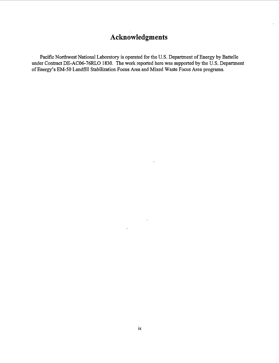# **Acknowledgments**

Pacific Northwest National Laboratory is operated for the U.S. Department of Energy by Battelle under Contract DE-AC06-76RLO 1830. The work reported here was supported by the U.S. Department of Energy's EM-50 Landfill Stabilization Focus Area and Mixed Waste Focus Area programs.

 $\bar{\mathcal{A}}$ 

 $\sim 10^{11}$ 

 $\mathcal{L}^{\mathcal{L}}$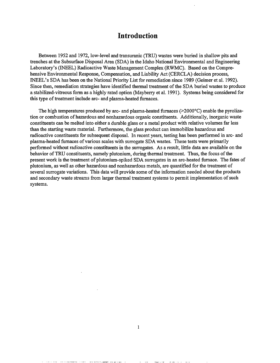### **Introduction**

Between 1952 and 1972, low-level and transuranic (TRU) wastes were buried in shallow pits and trenches at the Subsurface Disposal Area (SDA) in the Idaho National Environmental and Engineering Laboratory's (INEEL) Radioactive Waste Management Complex (RWMC). Based on the Comprehensive Environmental Response, Compensation, and Liability Act (CERCLA) decision process, INEEL's SDA has been on the National Priority List for remediation since 1989 (Geimer et al. 1992). Since then, remediation strategies have identified thermal treatment of the SDA buried wastes to produce a stabilized-vitreous form as a highly rated option (Mayberry et al. 1991). Systems being considered for this type of treatment include arc- and plasma-heated furnaces.

The high temperatures produced by arc- and plasma-heated furnaces (>2000°C) enable the pyrolization or combustion of hazardous and nonhazardous organic constituents. Additionally, inorganic waste constituents can be melted into either a durable glass or a metal product with relative volumes far less than the starting waste material. Furthermore, the glass product can immobilize hazardous and radioactive constituents for subsequent disposal. In recent years, testing has been performed in arc- and plasma-heated furnaces of various scales with surrogate SDA wastes. These tests were primarily performed without radioactive constituents in the surrogates. As a result, little data are available on the behavior of TRU constituents, namely plutonium, during thermal treatment. Thus, the focus of the present work is the treatment of plutonium-spiked SDA surrogates in an arc-heated furnace. The fates of plutonium, as well as other hazardous and nonhazardous metals, are quantified for the treatment of several surrogate variations. This data will provide some of the information needed about the products and secondary waste streams from larger thermal treatment systems to permit implementation of such systems.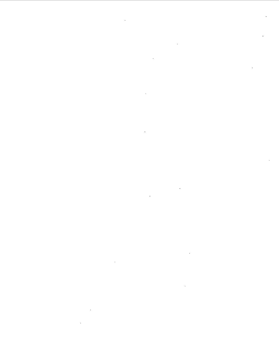$\mathcal{L}_{\text{max}}$  and  $\mathcal{L}_{\text{max}}$  $\frac{1}{2}$  $\label{eq:2.1} \frac{1}{\sqrt{2}}\int_{\mathbb{R}^3}\frac{1}{\sqrt{2}}\left(\frac{1}{\sqrt{2}}\right)^2\frac{1}{\sqrt{2}}\left(\frac{1}{\sqrt{2}}\right)^2\frac{1}{\sqrt{2}}\left(\frac{1}{\sqrt{2}}\right)^2\frac{1}{\sqrt{2}}\left(\frac{1}{\sqrt{2}}\right)^2\frac{1}{\sqrt{2}}\left(\frac{1}{\sqrt{2}}\right)^2\frac{1}{\sqrt{2}}\left(\frac{1}{\sqrt{2}}\right)^2\frac{1}{\sqrt{2}}\left(\frac{1}{\sqrt{2}}\right)^2\frac{1}{\sqrt{$  $\label{eq:2.1} \frac{1}{\sqrt{2}}\int_{\mathbb{R}^3} \frac{1}{\sqrt{2}}\left(\frac{1}{\sqrt{2}}\right)^2 \frac{1}{\sqrt{2}}\left(\frac{1}{\sqrt{2}}\right)^2 \frac{1}{\sqrt{2}}\left(\frac{1}{\sqrt{2}}\right)^2 \frac{1}{\sqrt{2}}\left(\frac{1}{\sqrt{2}}\right)^2.$  $\mathcal{L}(\mathcal{A})$  and  $\mathcal{L}(\mathcal{A})$  $\mathcal{L}(\mathcal{L}^{\mathcal{L}})$  and  $\mathcal{L}^{\mathcal{L}}$  and  $\mathcal{L}^{\mathcal{L}}$  and  $\mathcal{L}^{\mathcal{L}}$  $\mathcal{L}^{\mathcal{L}}(\mathcal{L}^{\mathcal{L}})$  and  $\mathcal{L}^{\mathcal{L}}(\mathcal{L}^{\mathcal{L}})$  and  $\mathcal{L}^{\mathcal{L}}(\mathcal{L}^{\mathcal{L}})$  $\mathcal{L}^{\text{max}}_{\text{max}}$  $\label{eq:2.1} \frac{1}{\sqrt{2}}\int_{\mathbb{R}^3}\frac{1}{\sqrt{2}}\left(\frac{1}{\sqrt{2}}\right)^2\frac{1}{\sqrt{2}}\left(\frac{1}{\sqrt{2}}\right)^2\frac{1}{\sqrt{2}}\left(\frac{1}{\sqrt{2}}\right)^2\frac{1}{\sqrt{2}}\left(\frac{1}{\sqrt{2}}\right)^2.$  $\label{eq:2.1} \frac{1}{\sqrt{2}}\left(\frac{1}{\sqrt{2}}\right)^{2} \left(\frac{1}{\sqrt{2}}\right)^{2} \left(\frac{1}{\sqrt{2}}\right)^{2} \left(\frac{1}{\sqrt{2}}\right)^{2} \left(\frac{1}{\sqrt{2}}\right)^{2} \left(\frac{1}{\sqrt{2}}\right)^{2} \left(\frac{1}{\sqrt{2}}\right)^{2} \left(\frac{1}{\sqrt{2}}\right)^{2} \left(\frac{1}{\sqrt{2}}\right)^{2} \left(\frac{1}{\sqrt{2}}\right)^{2} \left(\frac{1}{\sqrt{2}}\right)^{2} \left(\$  $\label{eq:2.1} \frac{1}{\sqrt{2}}\int_{\mathbb{R}^3}\frac{1}{\sqrt{2}}\left(\frac{1}{\sqrt{2}}\right)^2\frac{1}{\sqrt{2}}\left(\frac{1}{\sqrt{2}}\right)^2\frac{1}{\sqrt{2}}\left(\frac{1}{\sqrt{2}}\right)^2\frac{1}{\sqrt{2}}\left(\frac{1}{\sqrt{2}}\right)^2.$  $\label{eq:2.1} \mathcal{L}(\mathcal{L}^{\text{max}}_{\mathcal{L}}(\mathcal{L}^{\text{max}}_{\mathcal{L}})) \leq \mathcal{L}(\mathcal{L}^{\text{max}}_{\mathcal{L}}(\mathcal{L}^{\text{max}}_{\mathcal{L}}))$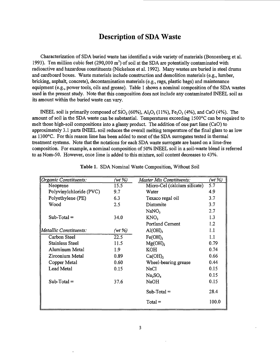### **Description of SDA Waste**

Characterization of SDA buried waste has identified a wide variety of materials (Bonnenberg et al. 1993). Ten million cubic feet (290,000 m<sup>3</sup>) of soil at the SDA are potentially contaminated with radioactive and hazardous constituents (Nickelson et al. 1992). Many wastes are buried in steel drums and cardboard boxes. Waste materials include construction and demolition materials (e.g., lumber, bricking, asphalt, concrete), decontamination materials (e.g., rags, plastic bags) and maintenance equipment (e.g., power tools, oils and grease). Table 1 shows a nominal composition of the SDA wastes used in the present study. Note that this composition does not include any contaminated INEEL soil as its amount within the buried waste can vary.

INEEL soil is primarily composed of SiO<sub>2</sub> (60%), Al<sub>2</sub>O<sub>3</sub> (11%), Fe<sub>2</sub>O<sub>3</sub> (4%), and CaO (4%). The amount of soil in the SDA waste can be substantial. Temperatures exceeding 1500°C can be required to melt those high-soil compositions into a glassy product. The addition of one part lime (CaO) to approximately 3.1 parts INEEL soil reduces the overall melting temperature of the final glass to as low as 1300°C. For this reason lime has been added to most of the SDA surrogates tested in thermal treatment systems. Note that the notations for each SDA waste surrogate are based on a lime-free composition. For example, a nominal composition of 50% INEEL soil in a soil-waste blend is referred to as Nom-50. However, once lime is added to this mixture, soil content decreases to 43%.

| Organic Constituents:     | (wt %)           | Master Mix Constituents:        | (wt %) |
|---------------------------|------------------|---------------------------------|--------|
| Neoprene                  | 15.5             | Micro-Cel (calcium silicate)    | 5.7    |
| Polyvinylchloride (PVC)   | 9.7              | Water                           | 4.9    |
| Polyethylene (PE)         | 6.3              | Texaco regal oil                | 3.7    |
| Wood                      | 2.5              | Diatomite                       | 3.7    |
|                           |                  | NaNO <sub>3</sub>               | 2.7    |
| $Sub-Total =$             | 34.0             | KNO <sub>3</sub>                | 1.3    |
|                           |                  | Portland Cement                 | 1.2    |
| $M$ etallic Constituents: | $(wt\,\%)$       | $\text{Al}(\text{OH})_3$        | 1.1    |
| Carbon Steel              | 22.5             | $Fe(OH)$ <sub>3</sub>           | 1.1    |
| <b>Stainless Steel</b>    | 11.5             | Mg(OH) <sub>2</sub>             | 0.79   |
| Aluminum Metal            | 1.9 <sup>°</sup> | KOH                             | 0.74   |
| Zirconium Metal           | 0.89             | $Ca(OH)$ ,                      | 0.66   |
| Copper Metal              | 0.60             | Wheel-bearing grease            | 0.44   |
| Lead Metal                | 0.15             | NaCl                            | 0.15   |
|                           |                  | Na <sub>2</sub> SO <sub>4</sub> | 0.15   |
| $Sub-Total =$             | 37.6             | NaOH                            | 0.15   |
|                           |                  | $Sub-Total =$                   | 28.4   |
|                           |                  | $Total =$                       | 100.0  |

| Table 1. SDA Nominal Waste Composition, Without Soil |  |  |  |  |
|------------------------------------------------------|--|--|--|--|
|------------------------------------------------------|--|--|--|--|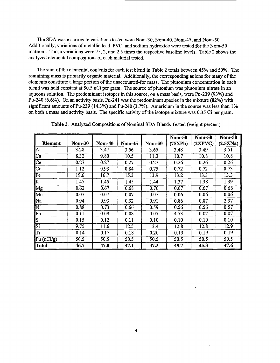The SDA waste surrogate variations tested were Nom-30, Nom-40, Nom-45, and Nom-50. Additionally, variations of metallic lead, PVC, and sodium hydroxide were tested for the Nom-50 material. Those variations were 75, 2, and 2.5 times the respective baseline levels. Table 2 shows the analyzed elemental compositions of each material tested.

The sum of the elemental contents for each test blend in Table 2 totals between 45% and 50%. The remaining mass is primarily organic material. Additionally, the corresponding anions for many of **the** elements constitute a large portion of the unaccounted-for mass. The plutonium concentration in each blend was held constant at 50.5 nCi per gram. The source of plutonium was plutonium nitrate in an aqueous solution. The predominant isotopes in this source, on a mass basis, were Pu-239 (93%) and Pu-240 *(6.6%).* On an activity basis, Pu-241 was the predominant species in the mixture (82%) with significant amounts of Pu-239 (14.3%) and Pu-240 (3.7%). Americium in the source was less than 1% on both a mass and activity basis. The specific activity of the isotope mixture was 0.35 Ci per gram.

|                          |               |               |               |               | $Nom-50$ | <b>Nom-50</b> | <b>Nom-50</b> |
|--------------------------|---------------|---------------|---------------|---------------|----------|---------------|---------------|
| <b>Element</b>           | <b>Nom-30</b> | <b>Nom-40</b> | <b>Nom-45</b> | <b>Nom-50</b> | (75XPb)  | (2XPVC)       | (2.5XNa)      |
| Al                       | 3.28          | 3.47          | 3.56          | 3.65          | 3.48     | 3.49          | 3.51          |
| $ \overline{\text{Ca}} $ | 8.32          | 9.80          | 10.5          | 11.3          | 10.7     | 10.8          | 10.8          |
| $\overline{\text{Ce}}$   | 0.27          | 0.27          | 0.27          | 0.27          | 0.26     | 0.26          | 0.26          |
| $\overline{\text{Cr}}$   | 1.12          | 0.93          | 0.84          | 0.75          | 0.72     | 0.72          | 0.73          |
| ∥Fe                      | 19.6          | 16.7          | 15.3          | 13.9          | 13.2     | 13.3          | 13.3          |
| $\overline{\rm K}$       | 1.45          | 1.45          | 1.45          | 1.44          | 1.37     | 1.38          | 1.39          |
| Mg                       | 0.62          | 0.67          | 0.68          | 0.70          | 0.67     | 0.67          | 0.68          |
| Mn                       | 0.07          | 0.07          | 0.07          | 0.07          | 0.06     | 0.06          | 0.06          |
| $\overline{\text{Na}}$   | 0.94          | 0.93          | 0.92          | 0.91          | 0.86     | 0.87          | 2.97          |
| Ni                       | 0.88          | 0.73          | 0.66          | 0.59          | 0.56     | 0.56          | 0.57          |
| $\sqrt{\mathsf{Pb}}$     | 0.11          | 0.09          | 0.08          | 0.07          | 4.73     | 0.07          | 0.07          |
| ß                        | 0.15          | 0.12          | 0.11          | 0.10          | 0.10     | 0.10          | 0.10          |
| $\overline{\mathrm{Si}}$ | 9.75          | 11.6          | 12.5          | 13.4          | 12.8     | 12.8          | 12.9          |
| ΙTi                      | 0.14          | 0.17          | 0.18          | 0.20          | 0.19     | 0.19          | 0.19          |
| $\mathbb{P}$ u (nCi/g)   | 50.5          | 50.5          | 50.5          | 50.5          | 50.5     | 50.5          | 50.5          |
| Total                    | 46.7          | 47.0          | 47.1          | 47.3          | 49.7     | 45.3          | 47.6          |

**Table** 2. Analyzed Compositions of Nominal SDA Blends Tested (weight percent)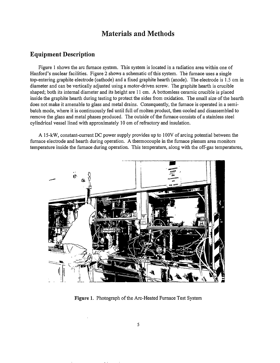### Materials and Methods

#### Equipment Description

Figure 1 shows the arc furnace system. This system is located in a radiation area within one of Hanford's nuclear facilities. Figure 2 shows a schematic of this system. The furnace uses a single top-entering graphite electrode (cathode) and a fixed graphite hearth (anode). The electrode is 1.5 cm in diameter and can be vertically adjusted using a motor-driven screw. The graphite hearth is crucible shaped; both its internal diameter and its height are 11 cm. A bottomless ceramic crucible is placed inside the graphite hearth during testing to protect the sides from oxidation. The small size of the hearth does not make it amenable to glass and metal drains. Consequently, the furnace is operated in a semibatch mode, where it is continuously fed until full of molten product, then cooled and disassembled to remove the glass and metal phases produced. The outside of the furnace consists of a stainless steel cylindrical vessel lined with approximately 10 cm of refractory and insulation.

A 15-kW, constant-current DC power supply provides up to 100V of arcing potential between the furnace electrode and hearth during operation. A thermocouple in the furnace plenum area monitors temperature inside the furnace during operation. This temperature, along with the off-gas temperatures,



Figure 1. Photograph of the Arc-Heated Furnace Test System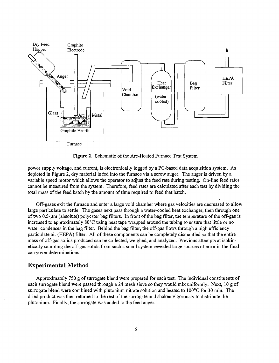

Figure 2. Schematic of the Arc-Heated Furnace Test System

power supply voltage, and current, is electronically logged by a PC-based data acquisition system. As depicted in Figure 2, dry material is fed into the furnace via a screw auger. The auger is driven by a variable speed motor which allows the operator to adjust the feed rate during testing. On-line feed rates cannot be measured from the system. Therefore, feed rates are calculated after each test by dividing the total mass of the feed batch by the amount of time required to feed that batch.

Off-gases exit the furnace and enter a large void chamber where gas velocities are decreased to allow large particulate to settle. The gases next pass through a water-cooled heat exchanger, then through one of two  $0.5$ - $\mu$ m (absolute) polyester bag filters. In front of the bag filter, the temperature of the off-gas is increased to approximately 80°C using heat tape wrapped around the tubing to ensure that little or no water condenses in the bag filter. Behind the bag filter, the off-gas flows through a high efficiency particulate air (HEPA) filter. All of these components can be completely dismantled so that the entire mass of off-gas solids produced can be collected, weighed, and analyzed. Previous attempts at isokinetically sampling the off-gas solids from such a small system revealed large sources of error in the final carryover determinations.

#### Experimental Method

Approximately 750 g of surrogate blend were prepared for each test. The individual constituents of each surrogate blend were passed through a 24 mesh sieve so they would mix uniformly. Next, 10 g of surrogate blend were combined with plutonium nitrate solution and heated to 100°C for 30 min. The dried product was then returned to the rest of the surrogate and shaken vigorously to distribute the plutonium. Finally, the surrogate was added to the feed auger.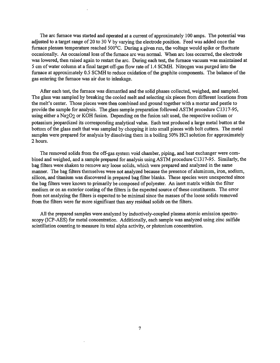The arc furnace was started and operated at a current of approximately 100 amps. The potential was adjusted to a target range of 20 to 30 V by varying the electrode position. Feed was added once the furnace plenum temperature reached 500°C. During a given run, the voltage would spike or fluctuate occasionally. An occasional loss of the furnace arc was normal. When arc loss occurred, the electrode was lowered, then raised again to restart the arc. During each test, the furnace vacuum was maintained at 5 cm of water column at a final target off-gas flow rate of 1.4 SCMH. Nitrogen was purged into the furnace at approximately 0.5 SCMH to reduce oxidation of the graphite components. The balance of the gas entering the furnace was air due to inleakage.

After each test, the furnace was dismantled and the solid phases collected, weighed, and sampled. The glass was sampled by breaking the cooled melt and selecting six pieces from different locations from the melt's center. Those pieces were then combined and ground together with a mortar and pestle to provide the sample for analysis. The glass sample preparation followed ASTM procedure C1317-95, using either a Na<sub>2</sub>O<sub>2</sub> or KOH fusion. Depending on the fusion salt used, the respective sodium or potassium jeopardized its corresponding analytical value. Each test produced a large metal button at the bottom of the glass melt that was sampled by chopping it into small pieces with bolt cutters. The metal samples were prepared for analysis by dissolving them in a boiling 50% HCl solution for approximately 2 hours.

The removed solids from the off-gas system void chamber, piping, and heat exchanger were combined and weighed, and a sample prepared for analysis using ASTM procedure C1317-95. Similarly, the bag filters were shaken to remove any loose solids, which were prepared and analyzed in the same manner. The bag filters themselves were not analyzed because the presence of aluminum, iron, sodium, silicon, and titanium was discovered in prepared bag filter blanks. These species were unexpected since the bag filters were known to primarily be composed of polyester. An inert matrix within the filter medium or on an exterior coating of the filters is the expected source of these constituents. The error from not analyzing the filters is expected to be minimal since the masses of the loose solids removed from the filters were far more significant than any residual solids on the filters.

All the prepared samples were analyzed by inductively-coupled plasma atomic emission spectroscopy (ICP-AES) for metal concentration. Additionally, each sample was analyzed using zinc sulfide scintillation counting to measure its total alpha activity, or plutonium concentration.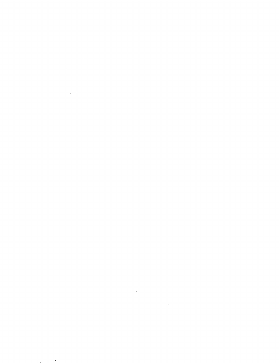$\mathcal{L}^{\text{max}}_{\text{max}}$  and  $\mathcal{L}^{\text{max}}_{\text{max}}$ 

 $\label{eq:2} \mathcal{L} = \mathcal{L} \left( \mathcal{L} \right) \left( \mathcal{L} \right) \left( \mathcal{L} \right)$  $\label{eq:2.1} \frac{1}{\sqrt{2}}\left(\frac{1}{\sqrt{2}}\right)^{2} \left(\frac{1}{\sqrt{2}}\right)^{2} \left(\frac{1}{\sqrt{2}}\right)^{2} \left(\frac{1}{\sqrt{2}}\right)^{2} \left(\frac{1}{\sqrt{2}}\right)^{2} \left(\frac{1}{\sqrt{2}}\right)^{2} \left(\frac{1}{\sqrt{2}}\right)^{2} \left(\frac{1}{\sqrt{2}}\right)^{2} \left(\frac{1}{\sqrt{2}}\right)^{2} \left(\frac{1}{\sqrt{2}}\right)^{2} \left(\frac{1}{\sqrt{2}}\right)^{2} \left(\$ 

 $\label{eq:2.1} \mathcal{L}(\mathcal{L}^{\mathcal{L}}_{\mathcal{L}}(\mathcal{L}^{\mathcal{L}}_{\mathcal{L}}(\mathcal{L}^{\mathcal{L}}_{\mathcal{L}}(\mathcal{L}^{\mathcal{L}}_{\mathcal{L}}(\mathcal{L}^{\mathcal{L}}_{\mathcal{L}}(\mathcal{L}^{\mathcal{L}}_{\mathcal{L}})))$ 

 $\label{eq:2.1} \frac{1}{\left\| \left( \frac{1}{\sqrt{2}} \right)^2 \right\|} \leq \frac{1}{\sqrt{2}} \left\| \left( \frac{1}{\sqrt{2}} \right)^2 \right\| \leq \frac{1}{\sqrt{2}} \left\| \left( \frac{1}{\sqrt{2}} \right)^2 \right\| \leq \frac{1}{\sqrt{2}} \left\| \left( \frac{1}{\sqrt{2}} \right)^2 \right\| \leq \frac{1}{\sqrt{2}} \left\| \left( \frac{1}{\sqrt{2}} \right)^2 \right\| \leq \frac{1}{\sqrt{2}} \left\| \left( \frac{1}{\sqrt{$ 

 $\mathcal{L}(\mathcal{L}^{\mathcal{L}})$  and  $\mathcal{L}(\mathcal{L}^{\mathcal{L}})$  and  $\mathcal{L}(\mathcal{L}^{\mathcal{L}})$  and  $\mathcal{L}(\mathcal{L}^{\mathcal{L}})$  $\label{eq:2.1} \mathcal{L}(\mathcal{L}) = \mathcal{L}(\mathcal{L}) \mathcal{L}(\mathcal{L}) = \mathcal{L}(\mathcal{L}) \mathcal{L}(\mathcal{L})$ 

 $\mathcal{L}^{\text{max}}_{\text{max}}$  ,  $\mathcal{L}^{\text{max}}_{\text{max}}$  $\sim$  $\mathcal{L}_{\rm{max}}$  .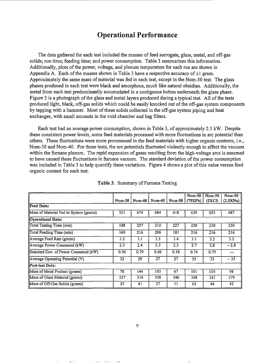### **Operational Performance**

The data gathered for each test included the masses of feed surrogate, glass, metal, and off-gas solids; run time; feeding time; and power consumption. Table 3 summarizes this information. Additionally, plots of the power, voltage, and plenum temperature for each run are shown in Appendix A. Each of the masses shown in Table 3 have a respective accuracy of  $\pm 1$  gram. Approximately the same mass of material was fed in each test, except in the Nom-30 test. The glass phases produced in each test were black and amorphous, much like natural obsidian. Additionally, the metal from each test predominantly accumulated in a contiguous button underneath the glass phase. Figure 3 is a photograph of the glass and metal layers produced during a typical test. All of the tests produced light, black, off-gas solids which could be easily knocked out of the off-gas system components by tapping with a hammer. Most of these solids collected in the off-gas system piping and heat exchanger, with small amounts in the void chamber and bag filters.

Each test had an average power consumption, shown in Table 3, of approximately 2.5 kW. Despite these consistent power levels, some feed materials processed with more fluctuations in arc potential than others. These fluctuations were more pronounced in the feed materials with higher organic contents, i.e., Nom-30 and Nom-40. For those tests, the arc potentials fluctuated violently enough to affect the vacuum within the furnace plenum. The rapid expansion of gases resulting from the high-voltage arcs is assumed to have caused these fluctuations in furnace vacuum. The standard deviation of the power consumption was included in Table 3 to help quantify these variations. Figure 4 shows a plot of this value versus feed organic content for each test.

|                                        |          |          |          |            | <b>Nom-50</b> | $Nom-50$ | $Nom-50$  |
|----------------------------------------|----------|----------|----------|------------|---------------|----------|-----------|
|                                        | $Nom-30$ | $Nom-40$ | $Nom-45$ | Nom-50 $ $ | (75XPb)       | (2XCI)   | (2.5XNa)  |
| <b>Feed Data:</b>                      |          |          |          |            |               |          |           |
| Mass of Material Fed to System (grams) | 521      | 674      | 684      | 618        | 659           | 693      | 687       |
| <b>Operational Data:</b>               |          |          |          |            |               |          |           |
| Total Testing Time (min)               | 188      | 257      | 210      | 227        | 230           | 230      | 230       |
| Total Feeding Time (min)               | 169      | 216      | 206      | 181        | 216           | 216      | 216       |
| Average Feed Rate (g/min)              | 3.2      | 3.1      | 3.3      | 3.4        | 3.1           | 3.2      | 3.2       |
| Average Power Consumed (kW)            | 2.3      | 2.4      | 2.5      | 2.3        | 2.7           | 2.8      | ~2.8      |
| Standard Dev. of Power Consumed (kW)   | 0.96     | 0.79     | 0.66     | 0.58       | 0.74          | 0.79     | ---       |
| Average Operating Potential (V)        | 32       | 29       | 27       | 27         | 35            | 33       | $~1 - 35$ |
| Post-test Data:                        |          |          |          |            |               |          |           |
| Mass of Metal Product (grams)          | 78       | 144      | 103      | 67         | 101           | 105      | 98        |
| Mass of Glass Material (grams)         | 227      | 314      | 358      | 346        | 348           | 341      | 379       |
| Mass of Off-Gas Solids (grams)         | 25       | 41       | 27       | 11         | 65            | 44       | 42        |

|  |  | Table 3. Summary of Furnace Testing |  |
|--|--|-------------------------------------|--|
|--|--|-------------------------------------|--|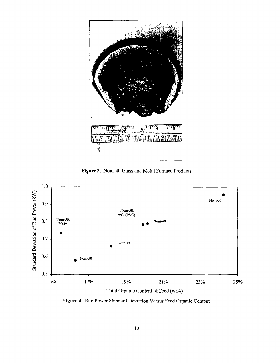

Figure 3. Nom-40 Glass and Metal Furnace Products



Figure 4. Run Power Standard Deviation Versus Feed Organic Content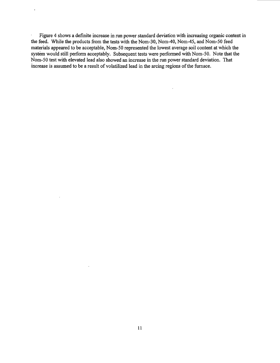$\epsilon$ Figure 4 shows a definite increase in run power standard deviation with increasing organic content in the feed. While the products from the tests with the Nom-30, Nom-40, Nom-45, and Nom-50 feed materials appeared to be acceptable, Nom-50 represented the lowest average soil content at which the system would still perform acceptably. Subsequent tests were performed with Nom-50. Note that the Nom-50 test with elevated lead also showed an increase in the run power standard deviation. That increase is assumed to be a result of volatilized lead in the arcing regions of the furnace.

l.

 $\ddot{\phantom{a}}$ 

 $\alpha$ 

 $\bar{\star}$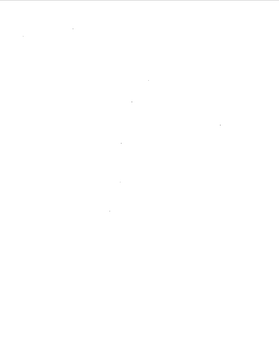$\mathcal{L}(\mathcal{L}^{\mathcal{L}}(\mathcal{L}^{\mathcal{L}}(\mathcal{L}^{\mathcal{L}}(\mathcal{L}^{\mathcal{L}}(\mathcal{L}^{\mathcal{L}}(\mathcal{L}^{\mathcal{L}}(\mathcal{L}^{\mathcal{L}}(\mathcal{L}^{\mathcal{L}}(\mathcal{L}^{\mathcal{L}}(\mathcal{L}^{\mathcal{L}}(\mathcal{L}^{\mathcal{L}}(\mathcal{L}^{\mathcal{L}}(\mathcal{L}^{\mathcal{L}}(\mathcal{L}^{\mathcal{L}}(\mathcal{L}^{\mathcal{L}}(\mathcal{L}^{\mathcal{L}}(\mathcal{L}$  $\mathcal{L}(\mathcal{L}^{\text{max}})$  and  $\mathcal{L}(\mathcal{L}^{\text{max}})$  $\mathcal{L}^{\mathcal{L}}(\mathcal{L}^{\mathcal{L}})$  and  $\mathcal{L}^{\mathcal{L}}(\mathcal{L}^{\mathcal{L}})$  and  $\mathcal{L}^{\mathcal{L}}(\mathcal{L}^{\mathcal{L}})$  $\mathcal{L}(\mathcal{L}^{\mathcal{L}})$  and  $\mathcal{L}(\mathcal{L}^{\mathcal{L}})$  . The contribution of

 $\mathcal{L}(\mathcal{L}(\mathcal{L}(\mathcal{L}(\mathcal{L}(\mathcal{L}(\mathcal{L}(\mathcal{L}(\mathcal{L}(\mathcal{L}(\mathcal{L}(\mathcal{L}(\mathcal{L}(\mathcal{L}(\mathcal{L}(\mathcal{L}(\mathcal{L}(\mathcal{L}(\mathcal{L}(\mathcal{L}(\mathcal{L}(\mathcal{L}(\mathcal{L}(\mathcal{L}(\mathcal{L}(\mathcal{L}(\mathcal{L}(\mathcal{L}(\mathcal{L}(\mathcal{L}(\mathcal{L}(\mathcal{L}(\mathcal{L}(\mathcal{L}(\mathcal{L}(\mathcal{L}(\mathcal{$  $\label{eq:2.1} \mathcal{L}(\mathcal{L}^{\text{max}}_{\mathcal{L}}(\mathcal{L}^{\text{max}}_{\mathcal{L}}),\mathcal{L}^{\text{max}}_{\mathcal{L}^{\text{max}}_{\mathcal{L}}})$ 

 $\label{eq:2.1} \frac{1}{\sqrt{2}}\int_{\mathbb{R}^3}\frac{1}{\sqrt{2}}\left(\frac{1}{\sqrt{2}}\right)^2\frac{1}{\sqrt{2}}\left(\frac{1}{\sqrt{2}}\right)^2\frac{1}{\sqrt{2}}\left(\frac{1}{\sqrt{2}}\right)^2\frac{1}{\sqrt{2}}\left(\frac{1}{\sqrt{2}}\right)^2\frac{1}{\sqrt{2}}\left(\frac{1}{\sqrt{2}}\right)^2\frac{1}{\sqrt{2}}\frac{1}{\sqrt{2}}\frac{1}{\sqrt{2}}\frac{1}{\sqrt{2}}\frac{1}{\sqrt{2}}\frac{1}{\sqrt{2}}$ 

 $\label{eq:2.1} \frac{1}{2} \int_{\mathbb{R}^3} \frac{1}{\sqrt{2}} \, \frac{1}{\sqrt{2}} \, \frac{1}{\sqrt{2}} \, \frac{1}{\sqrt{2}} \, \frac{1}{\sqrt{2}} \, \frac{1}{\sqrt{2}} \, \frac{1}{\sqrt{2}} \, \frac{1}{\sqrt{2}} \, \frac{1}{\sqrt{2}} \, \frac{1}{\sqrt{2}} \, \frac{1}{\sqrt{2}} \, \frac{1}{\sqrt{2}} \, \frac{1}{\sqrt{2}} \, \frac{1}{\sqrt{2}} \, \frac{1}{\sqrt{2}} \, \frac{1}{\sqrt{2}} \,$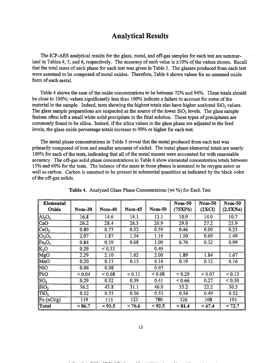### **Analytical Results**

The ICP-AES analytical results for the glass, metal, and off-gas samples for each test are summarized in Tables 4, 5, and 6, respectively. The accuracy of each value is  $\pm 10\%$  of the values shown. Recall that the total mass of each phase for each test was given in Table 3. The glasses produced from each test were assumed to be composed of metal oxides. Therefore, Table 4 shows values for an assumed oxide form of each metal.

Table 4 shows the sum of the oxide concentrations to be between 72% and 94%. These totals should be close to 100%; values significantly less than 100% indicate a failure to account for some of the material in the sample. Indeed, tests showing the highest totals also have higher analyzed  $SiO<sub>2</sub>$  values. The glass sample preparations are suspected as the source of the lower  $SiO<sub>2</sub>$  levels. The glass sample fusions often left a small white solid precipitate in the final solution. These types of precipitates are commonly found to be silica. Indeed, if the silica values in the glass phase are adjusted to the feed levels, the glass oxide percentage totals increase to 90% or higher for each test.

The metal phase concentrations in Table 5 reveal that the metal produced from each test was primarily composed of iron and smaller amounts of nickel. The metal phase elemental totals are nearly 100% for each of the tests, indicating that all of the metal masses were accounted for with reasonable accuracy. The off-gas solid phase concentrations in Table 6 show elemental concentration totals between 15% and 60% for the tests. The balance of the mass in those phases is assumed to be oxygen anion as well as carbon. Carbon is assumed to be present in substantial quantities as indicated by the black color of the off-gas solids.

| <b>Elemental</b>                 |                   |                   |                   |               | $Nom-50$ | Nom-50 | $Nom-50$ |
|----------------------------------|-------------------|-------------------|-------------------|---------------|----------|--------|----------|
| Oxide                            | $\textbf{Nom-30}$ | $\textbf{Nom-40}$ | $\textbf{Nom-45}$ | <b>Nom-50</b> | (75XPb)  | (2XCI) | (2.5XNa) |
| $ Al_2O_3 $                      | 16.8              | 14.6              | 14.1              | 13.1          | 10.9     | 14.0   | 10.7     |
| $\overline{\text{Cao}}$          | 26.2              | 28.4              | 26.3              | 26.9          | 29.0     | 27.2   | 25.9     |
| $\overline{\text{CeO}_2}$        | 0.89              | 0.73              | 0.32              | 0.59          | 0.46     | 0.00   | 0.25     |
| $ Cr_2O_3 $                      | 2.07              | 1.87              | 1.34              | 1.16          | 1.50     | 0.69   | 1.49     |
| $F_2O_3$                         | 0.84              | 0.59              | 0.68              | 1.00          | 0.76     | 0.52   | 0.99     |
| K <sub>2</sub> O                 | 0.29              | < 0.33            |                   | 0.49          |          |        |          |
| $\overline{\text{MgO}}$          | 2.29              | 2.10              | 1.62              | 2.00          | 1.89     | 1.84   | 1.67     |
| MnO                              | 0.20              | 0.13              | 0.15              | 0.16          | 0.19     | 0.12   | 0.16     |
| $\overline{\text{NiO}}$          | 0.06              | 0.08              |                   | 0.07          |          |        |          |
| PbO                              | < 0.04            | < 0.08            | < 0.11            | < 0.08        | < 0.29   | < 0.07 | < 0.13   |
| $\overline{SO_3}$                | 0.29              | 0.32              | 0.39              | 0:41          | < 0.66   | 0.27   | < 0.30   |
| $\overline{\text{SiO}_2}$        | 36.2              | 43.8              | 31.1              | 46.0          | 35.2     | 22.2   | 30.5     |
| TiO <sub>2</sub>                 | 0.52              | 0.55              | 0.56              | 0.53          | 0.56     | 0.49   | 0.52     |
| $\sqrt{\text{Pu}(\text{nCi/g})}$ | 119               | 115               | 123               | 780           | 126      | 108    | 101      |
| $\sqrt{\text{Total}}$            | < 86.7            | < 93.5            | $~10-76.6$        | < 92.5        | < 81.4   | < 67.4 | ~12.7    |

**Table 4.** Analyzed Glass Phase Concentrations (wt %) for Each Test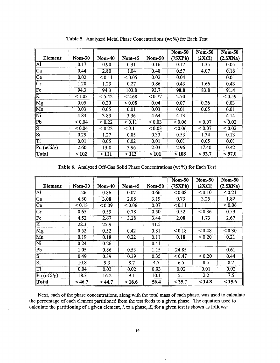|                           |                   |                          |               |               | <b>Nom-50</b> | <b>Nom-50</b> | <b>Nom-50</b> |
|---------------------------|-------------------|--------------------------|---------------|---------------|---------------|---------------|---------------|
| Element                   | $\textbf{Nom-30}$ | $\mathbf{Nom}\text{-}40$ | <b>Nom-45</b> | <b>Nom-50</b> | (75XPb)       | (2XCI)        | (2.5XNa)      |
| Al                        | 0.17              | 0.90                     | 0.31          | 0.16          | 0.17          | 1.35          | 0.05          |
| Ca                        | 0.44              | 2.80                     | 1.04          | 0.48          | 0.57          | 4.07          | 0.16          |
| Ce                        | 0.02              | < 0.11                   | < 0.05        | 0.02          | 0.04          |               | 0.01          |
| lСг                       | 1.20              | 1.29                     | 0.27          | 0.86          | 0.43          | 1.66          | 0.43          |
| Fe                        | 94.3              | 94.3                     | 103.8         | 93.7          | 98.8          | 83.8          | 91.4          |
| $\overline{\mathbb{K}}$   | < 1.03            | < 5.42                   | < 2.68        | $\sqrt{6.77}$ | 2.70          |               | < 0.59        |
| Mg                        | 0.05              | 0.20                     | < 0.08        | 0.04          | 0.07          | 0.26          | 0.03          |
| ∥Mn                       | 0.03              | 0.05                     | 0.01          | 0.03          | 0.01          | 0.05          | 0.01          |
| $\overline{\mathbb{N}}$ i | 4.83              | 3.89                     | 3.36          | 4.64          | 4.13          |               | 4.14          |
| $\sqrt{\mathrm{Pb}}$      | < 0.04            | < 0.22                   | < 0.11        | < 0.03        | < 0.06        | < 0.07        | < 0.02        |
| $\overline{\mathbb{S}}$   | ${}_{0.04}$       | < 0.22                   | < 0.11        | < 0.03        | < 0.06        | < 0.07        | < 0.02        |
| Si                        | 0.29              | 1.27                     | 0.85          | 0.33          | 0.53          | 1.34          | 0.13          |
| Ti                        | 0.01              | 0.05                     | 0.02          | 0.01          | 0.01          | 0.05          | 0.01          |
| $\mathbf{Pu}$ (nCi/g)     | 2.60              | 13.8                     | 3.96          | 2.03          | 2.96          | 17.40         | 0.42          |
| Total                     | < 102             | < 111                    | < 113         | < 101         | < 108         | < 92.7        | < 97.0        |

**Table 5.** Analyzed Metal Phase Concentrations (wt %) for Each Test

**Table 6.** Analyzed Off-Gas Solid Phase Concentrations (wt %) for Each Test

|                                       |                   |                   |               |               | <b>Nom-50</b> | $Nom-50$ | <b>Nom-50</b>     |
|---------------------------------------|-------------------|-------------------|---------------|---------------|---------------|----------|-------------------|
| <b>Element</b>                        | $\textbf{Nom-30}$ | $\textbf{Nom-40}$ | <b>Nom-45</b> | <b>Nom-50</b> | (75XPb)       | (2XCI)   | (2.5XNa)          |
| AI                                    | 1.26              | 0.86              | 0.07          | 0.66          | < 0.08        | < 0.10   | < 0.21            |
| $\sqrt{Ca}$                           | 4.50              | 3.08              | 2.08          | 3.19          | 0.73          | 3.25     | 1.82              |
|                                       | < 0.13            | < 0.09            | < 0.06        | 0.07          | < 0.11        |          | ${}_{0.06}$       |
| $\frac{\overline{C}e}{\overline{C}r}$ | 0.65              | 0.59              | 0.78          | 0.50          | 0.52          | < 0.36   | 0.59              |
| $\mathbb{\overline{Fe}}$              | 4.52              | 2.67              | 3.28          | 3.44          | 2.08          | 1.73     | 2.67              |
| 厎                                     | 22.3              | 25.9              |               | 41.5          |               |          |                   |
| Mg                                    | 0.52              | 0.52              | 0.42          | 0.31          | < 0.18        | < 0.48   | $\overline{0.30}$ |
| $\mathbf{Mn}$                         | 0.19              | 0.18              | 0.22          | 0.11          | 0.18          | < 0.20   | 0.21              |
| $\overline{\mathbf{N}\mathbf{i}}$     | 0.24              | 0.26              |               | 0.41          |               |          |                   |
| $ {\bf Pb} $                          | 1.05              | 0.86              | 0.53          | 1.15          | 24.85         |          | 0.61              |
| $\overline{\mathsf{S}}$               | 0.49              | 0.39              | 0.39          | 0.35          | < 0.47        | < 0.20   | 0.44              |
| Si                                    | 10.8              | 9.3               | 8.7           | 4.7           | 6.5           | 8.5      | 8.7               |
| Ti                                    | 0.04              | 0.03              | 0.02          | 0.03          | 0.02          | 0.01     | 0.02              |
| $\sqrt{\text{Pu}(\text{nCi/g})}$      | 18.3              | 16.2              | 9.1           | 10.1          | 5.1           | 2.2      | 7.5               |
| Total                                 | < 46.7            | < 44.7            | ~16.6         | 56.4          | < 35.7        | < 14.8   | < 15.6            |

Next, each of the phase concentrations, along with the total mass of each phase, was used to calculate the percentage of each element partitioned from the test feeds to a given phase. The equation used to calculate the partitioning of a given element, *i,* to a phase, *X,* for a given test is shown as follows: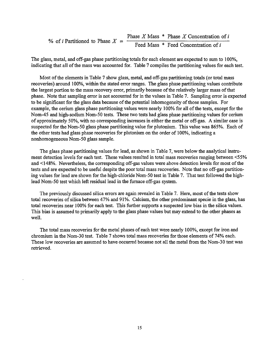% of *i* Partitioned to Phase 
$$
X = \frac{\text{Phase } X \text{ Mass}}{\text{Feed Mass } * \text{ Feed Concernation of } i}
$$

The glass, metal, and off-gas phase partitioning totals for each element are expected to sum to 100%, indicating that all of the mass was accounted for. Table 7 compiles the partitioning values for each test.

Most of the elements in Table 7 show glass, metal, and off-gas partitioning totals (or total mass recoveries) around 100%, within the stated error ranges. The glass phase partitioning values contribute the largest portion to the mass recovery error, primarily because of the relatively larger mass of that phase. Note that sampling error is not accounted for in the values in Table 7. Sampling error is expected to be significant for the glass data because of the potential inhomogeneity of those samples. For example, the cerium glass phase partitioning values were nearly 100% for all of the tests, except for the Nom-45 and high-sodium Nom-50 tests. These two tests had glass phase partitioning values for cerium of approximately 50%, with no corresponding increases in either the metal or off-gas. A similar case is suspected for the Nom-50 glass phase partitioning value for plutonium. This value was 865%. Each of the other tests had glass phase recoveries for plutonium on the order of 100%, indicating a nonhomogeneous Nom-50 glass sample.

The glass phase partitioning values for lead, as shown in Table 7, were below the analytical instrument detection levels for each test. These values resulted in total mass recoveries ranging between <55% and <148%. Nevertheless, the corresponding off-gas values were above detection levels for most of the tests and are expected to be useful despite the poor total mass recoveries. Note that no off-gas partitioning values for lead are shown for the high-chloride Nom-50 test in Table 7. That test followed the highlead Nom-50 test which left residual lead in the furnace off-gas system.

The previously discussed silica errors are again revealed in Table 7. Here, most of the tests show total recoveries of silica between 47% and 91%. Calcium, the other predominant specie in the glass, has total recoveries near 100% for each test. This further supports a suspected low bias in the silica values. This bias is assumed to primarily apply to the glass phase values but may extend to the other phases as well.

The total mass recoveries for the metal phases of each test were nearly 100%, except for iron and chromium in the Nom-30 test. Table 7 shows total mass recoveries for those elements of 74% each. These low recoveries are assumed to have occurred because not all the metal from the Nom-30 test was retrieved.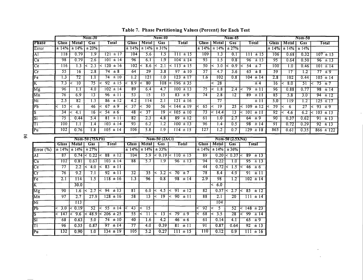|                                        |                            |                           | Nom-30                     |                             |                                 |                                | Nom-40               |                             |                         |                                              | <b>Nom-45</b>              |                                      |                          |                                            | <b>Nom-50</b>    |                    |
|----------------------------------------|----------------------------|---------------------------|----------------------------|-----------------------------|---------------------------------|--------------------------------|----------------------|-----------------------------|-------------------------|----------------------------------------------|----------------------------|--------------------------------------|--------------------------|--------------------------------------------|------------------|--------------------|
| <b>Phase</b>                           | Glass                      | Metal                     | Gas                        | $\mathsf{T}$ otal           | <b>Glass</b>                    | Metal                          | Gas                  | $\mathbf{Tot}$ al           | $G_{\text{lass}}$       | Metal                                        | Gas                        | $\overline{\text{Total}}$            | <b>Glass</b>             | Metal                                      | Gas              | Total              |
| Error                                  | ±14%                       | $\pm 14\%$                | $\pm 20%$                  |                             |                                 | $\pm$ 14% $\pm$ 14% $\pm$ 31%  |                      |                             | $\pm 14\%$              |                                              | $\pm 14\%$ $\pm 27\%$      |                                      | $\pm 14\%$               | $\pm 14\%$                                 | ±14%             |                    |
| ÃΙ                                     | $\overline{118}$           | 0.79                      | 1.9                        | $121 \pm 17$                | $\overline{104}$                | 5.6                            | $\overline{1.5}$     | $111 \pm 15$                | 109                     | $\overline{1.3}$                             | 0.1                        | $111 \pm 15$                         | 106                      | 0.68                                       | 0.32             | $107 + 15$         |
| $\overline{\text{Ca}}$                 | 98                         | 0.79                      | $\overline{2.6}$           | $101 \pm 14$                | 96                              | 6.1                            | 1.9                  | $104 \pm 14$                | $\overline{93}$         | $\overline{1.5}$                             | 0.8                        | $96 + 13$                            | 95                       | 0.64                                       | 0.50             | $96 \pm 13$        |
| $\overline{\mathrm{Ce}}$               | $\overline{116}$           | $\overline{1.3}$          | $\overline{2.3}$<br>$\leq$ | $< 120 \pm 16$              | $\overline{102}$                | 8.6<br>k                       | 2.1<br>Ż.            | $\leq 113 \pm 15$           | $50^{-}$                | $\overline{3.0}$<br>$\overline{\phantom{0}}$ | $\overline{0.9}$<br>$\leq$ | $54 + 7$<br>$\overline{\phantom{0}}$ | 100                      | $\overline{1.0}$                           | 0.46             | $101 \pm 14$       |
| $\overline{\text{Cr}}$                 | 55                         | 16                        | $\overline{2.8}$           | $74 \pm 8$                  | 64                              | 29                             | 3.8                  | $97 + 10$                   | 57                      | $\overline{4.7}$                             | $\overline{3.6}$           | $65 + 8$                             | 59                       | $\overline{17}$                            | 1.2              | $77 \pm 9$         |
| Fe                                     | $\overline{1.3}$           | $\overline{72}$           | 1.1                        | $74 \pm 10$                 | 1.2                             | $\overline{121}$               | $\overline{1.0}$     | $123 \pm 17$                | $\overline{1.6}$        | $\overline{102}$                             | 0.8                        | $104 \pm 14$                         | 2.8                      | 102                                        | 0.44             | $105 \pm 14$       |
| $\overline{\rm K}$                     | 7.3                        | $\overline{10}$<br>k      | 75                         | $92 \pm 15$                 | 8.9<br>$\overline{\phantom{0}}$ | $\overline{80}$<br>k           | 108                  | $< 196 \pm 35$              |                         | $\overline{28}$<br>$\prec$                   |                            | ± 4                                  | 16                       | 8.0                                        | 51               | $< 75 + 7$         |
| $\overline{\text{Mg}}$                 | 96                         | $\overline{1.1}$          | 4.0                        | $\frac{102 \pm 14}{ }$      | $\overline{89}$                 | 6.4                            | 4.7                  | $100 \pm 13$                | $\overline{75}$         | $\sqrt{3}$ 1.8                               | 2.4                        | $79 \pm 11$<br>$\leq$                | 96                       | 0.88                                       | 0.77             | $98 + 14$          |
| Mn                                     | 76                         | 6.9                       | $\overline{13}$            | $96 \pm 11$                 | $\overline{53}$                 | $\overline{15}$                | $\overline{15}$      | $83 + 9$                    | 74                      | $\overline{2.8}$                             | 12                         | $\overline{89}$<br>$\pm$ 11          | $\overline{\textbf{85}}$ | $\overline{5.8}$                           | 3.0              | $94 \pm 12$        |
| Ni                                     | 2.5                        | $\overline{82}$           | $\overline{1.3}$           | $86 \pm 12$                 | $\overline{4.2}$                | $\overline{114}$               | 2.1                  | $\frac{121 + 16}{ }$        |                         | $\overline{77}$                              |                            | $\pm$ 11                             | $\overline{5.0}$         | $\overline{119}$                           | $\overline{1.2}$ | $125 \pm 17$       |
| $\overline{\mathsf{Pb}}$               | $\overline{15}$<br>$\,<\,$ | $\overline{6}$<br>$\prec$ | 46                         | $67 \pm 9$<br>$\,<\,$       | $\overline{37}$<br>k.           | $\overline{50}$<br>$\leq$      | 56                   | $< 144 \pm 19$              | $\sqrt{5}$              | 79<br>$\prec$                                | 25                         | $< 109 \pm 12$                       | 59<br>$\prec$            | $\overline{6}$<br>$\overline{\phantom{0}}$ | $\overline{27}$  | $93 + 9$<br>$\leq$ |
| $\overline{s}$                         | $\overline{34}$            | < 4.1                     | $\overline{16}$            | $\sqrt{54}$ ± 6             | 48                              | $\overline{37}$<br>$\leq$      | $\overline{19}$      | $< 105 \pm 10$              | 73                      | < 14.4                                       | 13                         | < 101<br>$\pm 11$                    | $\overline{92}$          | $-4.6$<br>$\overline{\phantom{0}}$         | 6.2              | $< 103 \pm 13$     |
| $\overline{\text{Si}}$                 | 75                         | 0.44                      | 5,4                        | $81 \pm 11$                 | $\overline{82}$                 | 2.3                            | 4.8                  | $89 + 12$                   | 61                      | $\overline{1.0}$                             | 2.7                        | 64<br>$\overline{\pm 9}$             | 90                       | 0.37                                       | 0.62             | $91 \pm 13$        |
| Ti                                     | 100                        | $\overline{1.1}$          | 1.4                        | $103 \pm 14$                | $\overline{93}$                 | 6.2                            | $\overline{1.2}$     | $\overline{100 \pm 13}$     | 96                      | $\overline{1.4}$                             | $\overline{0.5}$           | $98 + 14$                            | 91                       | 0.72                                       | 0.29             | $92 \pm 13$        |
| Pu-                                    | 102                        | 0.76                      | $\overline{1.8}$           | $105 \pm 14$                | 106                             | $\overline{5.8}$               | $\overline{1.9}$     | $114 \pm 15$                | 127                     | $\overline{1.2}$                             | 0.7                        | $129 + 18$                           | 865                      | 0.61                                       | 0.35             | $866 \pm 122$      |
|                                        |                            |                           |                            |                             |                                 |                                |                      |                             |                         |                                              |                            |                                      |                          |                                            |                  |                    |
|                                        |                            |                           | Nom-50 (75XPb)             |                             |                                 |                                | <b>Nom-50 (2XCI)</b> |                             |                         |                                              | $Nom-50(2.5XNa)$           |                                      |                          |                                            |                  |                    |
|                                        | Glass                      | Metal                     | $\overline{Gas}$           | $T\bar{o}$ tal              | <b>Glass</b>                    | Metal                          | $\overline{Gas}$     | $\text{TótaI}$              | <b>Glass</b>            | Metal                                        | $\overline{Gas}$           | Total                                |                          |                                            |                  |                    |
| Error (%)                              | $\pm 14\%$                 | $\pm 14\%$                | ± 27%                      |                             | $\pm 14\%$                      | $\pm 14\%$ $\pm 33\%$          |                      |                             | $\pm 14\%$              | $\pm 14\%$ $\pm 36\%$                        |                            |                                      |                          |                                            |                  |                    |
| $\overline{\mathsf{A}\mathsf{\Gamma}}$ | 87                         |                           | 0.74 < 0.22 <              | $88 + 12$                   | 104                             | $\overline{5.9}$               |                      | $\leq 0.19 \leq 110 \pm 15$ | $\overline{89}$         |                                              | $[0.20] < 0.37$ $<$        | $89 + 13$                            |                          |                                            |                  |                    |
| $\overline{\text{Ca}}$                 | 102                        | 0.81                      | 0.67                       | $103 \pm 14$                | $\overline{88}$                 | 5.7                            | $\overline{1.9}$     | $96 \pm 13$                 | $\overline{94}$         | 0.22                                         | 1.0                        | $95 + 13$                            |                          |                                            |                  |                    |
| $\overline{\mathrm{Ce}}$               | 77                         | $2.2^{\circ}$             | < 4.0                      | $83 + 11$<br>$\leq$         |                                 |                                |                      |                             | 44                      | $0.72$ $<$                                   | 1.5                        | $46 \pm 6$<br>$\,<\,$                |                          |                                            |                  |                    |
| $\overline{\text{Cr}}$                 | $\overline{76}$            | $\overline{9.2}$          | 7.1                        | $92 \pm 11$                 | $\overline{3}\overline{2}$      | $\overline{35}$                | < 3.2                | $< 70 \pm 7$                | $\overline{78}$         | 8.4                                          | 4.9                        | $91 \pm 11$                          |                          |                                            |                  |                    |
| Fe                                     | $\overline{2.1}$           | $\overline{114}$          | $\overline{1.5}$           | $118 \pm 16$                | 13                              | $\overline{96}$                | 0.8                  | $98 + 14$                   | 2.9                     | 98                                           | 1.2                        | $102 \pm 14$                         |                          |                                            |                  |                    |
| $\overline{\rm K}$                     |                            | 30.0                      |                            |                             |                                 |                                |                      |                             |                         | < 6.0                                        |                            |                                      |                          |                                            |                  |                    |
| $\overline{\text{Mg}}$                 | ळ                          | $1.6^{\circ}$             | $\sqrt{2.7}$               | $\sqrt{5}$ 94 ± 13          | $\overline{81}$                 |                                |                      | 6.0 < 4.5 < 91 $\pm$ 12     | $\overline{\text{82}}$  |                                              | [0.57 < 2.7] <             | $85 + 12$                            |                          |                                            |                  |                    |
| Mn                                     | 97                         | 2.7                       | 27.9                       | $128 \pm 16$                | 38                              | $\overline{13}$                | $\overline{5}$       | $\sqrt{5}$ 90 $\pm$ 11      | $\overline{88}$         | $\overline{2.1}$                             | 20                         | $111 \pm 14$                         |                          |                                            |                  |                    |
| Nï                                     |                            | $\overline{113}$          |                            |                             |                                 |                                |                      |                             |                         | 104                                          |                            |                                      |                          |                                            |                  |                    |
| PЬ                                     | $\overline{5}$ 3.0         | < 0.19                    | 32                         | $\sqrt{55 + 14}$            | $\overline{43}$                 | $\overline{5}$                 |                      |                             | $\overline{5-92}$       | $\overline{5}$<br>$\overline{\phantom{0}}$   | 52                         | $\sqrt{148 + 23}$                    |                          |                                            |                  |                    |
| $\overline{\mathsf{s}}$                |                            | 9.6<br>$\leq$             |                            | $\leq 48.9 \leq 206 \pm 25$ | 33                              | $\overline{<}$ $\overline{11}$ | $<$ 13               | $75 - 79$<br>$\pm 9$        | ह्ट ठ8                  | $\frac{1}{5}$ 3.5                            | $\overline{28}$            | $99 + 14$<br>l<                      |                          |                                            |                  |                    |
| <b>Si</b>                              | 68                         | 0.63                      | $\overline{5.0}$           | $74 \pm 10$                 | 40                              | $\overline{1.6}$               | $\overline{4.2}$     | $46 + 6$                    | 61                      | 0.14                                         | 4.1                        | $65 + 9$                             |                          |                                            |                  |                    |
| Tī<br>Pu                               | 96<br>132                  | 0.55<br>0.90              | 0.87<br>$\overline{1.0}$   | $97 \pm 14$<br>$134 \pm 19$ | 77<br>105                       | 4.0<br>5.2                     | 0.39<br>0.27         | $81 + 11$<br>$111 \pm 15$   | श<br>$\Pi \overline{0}$ | 0.87<br>0.12                                 | 0.64<br>0.9                | $92 \pm 13$<br>$111 \pm 16$          |                          |                                            |                  |                    |

 $\ddot{\phantom{a}}$ 

**Table 7. Phase Partitioning Values (Percent) for Each Test**

**O\**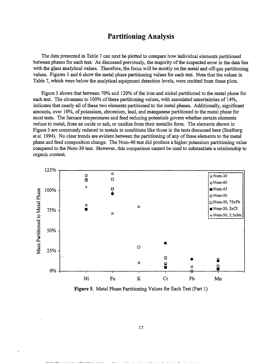### **Partitioning Analysis**

The data presented in Table 7 can next be plotted to compare how individual elements partitioned between phases for each test. As discussed previously, the majority of the suspected error in the data lies with the glass analytical values. Therefore, the focus will be mostly on the metal and off-gas partitioning values. Figures 5 and 6 show the metal phase partitioning values for each test. Note that the values in Table 7, which were below the analytical equipment detection levels, were omitted from these plots.

Figure 5 shows that between 70% and 120% of the iron and nickel partitioned to the metal phase for each test. The closeness to 100% of these partitioning values, with associated uncertainties of 14%, indicates that nearly all of these two elements partitioned to the metal phases. Additionally, significant amounts, over 10%, of potassium, chromium, lead, and manganese partitioned to the metal phase for most tests. The furnace temperatures and feed reducing potentials govern whether certain elements reduce to metal, from an oxide or salt, or oxidize from their metallic form. The elements shown in Figure 5 are commonly reduced to metals in conditions like those in the tests discussed here (Soelberg et al. 1994). No clear trends are evident between the partitioning of any of these elements to the metal phase and feed composition change. The Nom-40 test did produce a higher potassium partitioning value compared to the Nom-30 test. However, this comparison cannot be used to substantiate a relationship to organic content.



**Figure 5.** Metal Phase Partitioning Values for Each Test (Part 1)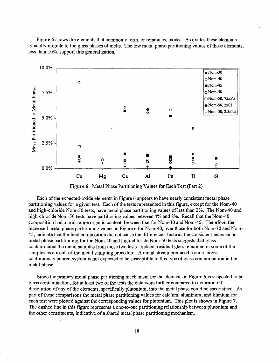Figure 6 shows the elements that commonly form, or remain as, oxides. As oxides these elements typically migrate to the glass phases of melts. The low metal phase partitioning values of these elements, less than 10%, support this generalization.



Figure 6. Metal Phase Partitioning Values for Each Test (Part 2)

Each of the expected-oxide elements in Figure 6 appears to have nearly consistent metal phase partitioning values for a given test. Each of the tests represented in this figure, except for the Nom-40 and high-chloride Nom-50 tests, have metal phase partitioning values of less than 2%. The Nom-40 and high-chloride Nom-50 tests have partitioning values between 4% and 8%. Recall that the Nom-40 composition had a mid-range organic content, between that for Nom-30 and Nom-45. Therefore, the increased metal phase partitioning values in Figure 6 for Nom-40, over those for both Nom-30 and Nom-45, indicate that the feed composition did not cause the difference. Instead, the consistent increase in metal phase partitioning for the Nom-40 and high-chloride Nom-50 tests suggests that glass contaminated the metal samples from those two tests. Indeed, residual glass remained in some of the samples as a result of the metal sampling procedure. A metal stream produced from a larger, continuously poured system is not expected to be susceptible to this type of glass contamination in the metal phase.

Since the primary metal phase partitioning mechanism for the elements in Figure 6 is suspected to be glass contamination, for at least two of the tests the data were further compared to determine if dissolution of any of the elements, specifically plutonium, into the metal phase could be ascertained. As part of these comparisons the metal phase partitioning values for calcium, aluminum, and titanium for each test were plotted against the corresponding values for plutonium. This plot is shown in Figure 7. The dashed line in this figure represents a one-to-one partitioning relationship between plutonium and the other constituents, indicative of a shared metal phase partitioning mechanism.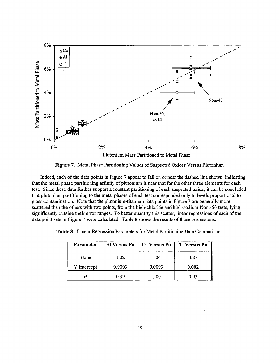

**Figure 7.** Metal Phase Partitioning Values of Suspected Oxides Versus Plutonium

Indeed, each of the data points in Figure 7 appear to fall on or near the dashed line shown, indicating that the metal phase partitioning affinity of plutonium is near that for the other three elements for each test. Since these data further support a constant partitioning of each suspected oxide, it can be concluded that plutonium partitioning to the metal phases of each test corresponded only to levels proportional to glass contamination. Note that the plutonium-titanium data points in Figure 7 are generally more scattered than the others with two points, from the high-chloride and high-sodium Nom-50 tests, lying significantly outside their error ranges. To better quantify this scatter, linear regressions of each of the data point sets in Figure 7 were calculated. Table 8 shows the results of those regressions.

|  |  |  | Table 8. Linear Regression Parameters for Metal Partitioning Data Comparisons |  |  |  |  |  |  |
|--|--|--|-------------------------------------------------------------------------------|--|--|--|--|--|--|
|--|--|--|-------------------------------------------------------------------------------|--|--|--|--|--|--|

| Parameter   | Al Versus Pu | Ca Versus Pu | Ti Versus Pu |
|-------------|--------------|--------------|--------------|
| Slope       | 1.02         | 1.06         | 0.87         |
| Y Intercept | 0.0003       | 0.0003       | 0.002        |
| -2          | 0.99         | 1.00         | 0.93         |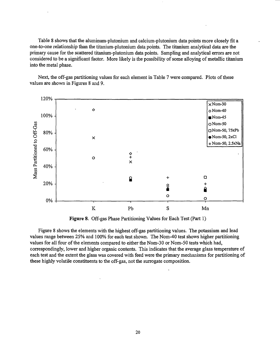Table 8 shows that the aluminum-plutonium and calcium-plutonium data points more closely fit a one-to-one relationship than the titanium-plutonium data points. The titanium analytical data are the primary cause for the scattered titanium-plutonium data points. Sampling and analytical errors are not considered to be a significant factor. More likely is the possibility of some alloying of metallic titanium into the metal phase.

Next, the off-gas partitioning values for each element in Table 7 were compared. Plots of these values are shown in Figures 8 and 9.



Figure 8. Off-gas Phase Partitioning Values for Each Test (Part 1)

Figure 8 shows the elements with the highest off-gas partitioning values. The potassium and lead values range between 25% and 100% for each test shown. The Nom-40 test shows higher partitioning values for all four of the elements compared to either the Nom-30 or Nom-50 tests which had, correspondingly, lower and higher organic contents. This indicates that the average glass temperature of each test and the extent the glass was covered with feed were the primary mechanisms for partitioning of these highly volatile constituents to the off-gas, not the surrogate composition.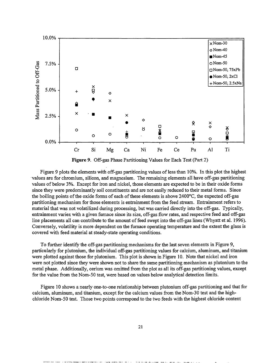

Figure 9. Off-gas Phase Partitioning Values for Each Test (Part 2)

Figure 9 plots the elements with off-gas partitioning values of less than 10%. In this plot the highest values are for chromium, silicon, and magnesium. The remaining elements all have off-gas partitioning values of below 3%. Except for iron and nickel, those elements are expected to be in their oxide forms since they were predominantly soil constituents and are not easily reduced to their metal forms. Since the boiling points of the oxide forms of each of these elements is above 2400°C, the expected off-gas partitioning mechanism for those elements is entrainment from the feed stream. Entrainment refers to material that was not volatilized during processing, but was carried directly into the off-gas. Typically, entrainment varies with a given furnace since its size, off-gas flow rates, and respective feed and off-gas line placements all can contribute to the amount of feed swept into the off-gas lines (Whyatt et al. 1996). Conversely, volatility is more dependent on the furnace operating temperature and the extent the glass is covered with feed material at steady-state operating conditions.

To further identify the off-gas partitioning mechanisms for the last seven elements in Figure 9, particularly for plutonium, the individual off-gas partitioning values for calcium, aluminum, and titanium were plotted against those for plutonium. This plot is shown in Figure 10. Note that nickel and iron were not plotted since they were shown not to share the same partitioning mechanism as plutonium to the metal phase. Additionally, cerium was omitted from the plot as all its off-gas partitioning values, except for the value from the Nom-50 test, were based on values below analytical detection limits.

Figure 10 shows a nearly one-to-one relationship between plutonium off-gas partitioning and that for calcium, aluminum, and titanium, except for the calcium values from the Nom-30 test and the highchloride Nom-50 test. Those two points correspond to the two feeds with the highest chloride content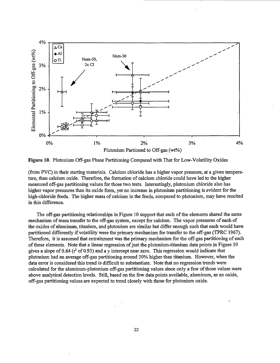

Figure 10. Plutonium Off-gas Phase Partitioning Compared with That for Low-Volatility Oxides

(from PVC) in their starting materials. Calcium chloride has a higher vapor pressure, at a given temperature, than calcium oxide. Therefore, the formation of calcium chloride could have led to the higher measured off-gas partitioning values for those two tests. Interestingly, plutonium chloride also has higher vapor pressures than its oxide form, yet no increase in plutonium partitioning is evident for the high-chloride feeds. The higher mass of calcium in the feeds, compared to plutonium, may have resulted in this difference.

The off-gas partitioning relationships in Figure 10 support that each of the elements shared the same mechanism of mass transfer to the off-gas system, except for calcium. The vapor pressures of each of the oxides of aluminum, titanium, and plutonium are similar but differ enough such that each would have partitioned differently if volatility were the primary mechanism for transfer to the off-gas (TPRC 1967). Therefore, it is assumed that entrainment was the primary mechanism for the off-gas partitioning of each of these elements. Note that a linear regression of just the plutonium-titanium data points in Figure 10 gives a slope of 0.64 ( $r^2$  of 0.93) and a y intercept near zero. This regression would indicate that plutonium had an average off-gas partitioning around 30% higher than titanium. However, when the data error is considered this trend is difficult to substantiate. Note that no regression trends were calculated for the aluminum-plutonium off-gas partitioning values since only a few of those values were above analytical detection levels. Still, based on the few data points available, aluminum, as an oxide, off-gas partitioning values are expected to trend closely with those for plutonium oxide.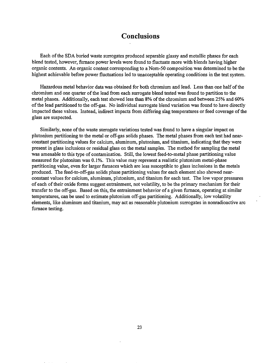#### **Conclusions**

Each of the SDA buried waste surrogates produced separable glassy and metallic phases for each blend tested, however, furnace power levels were found to fluctuate more with blends having higher organic contents. An organic content corresponding to a Nom-50 composition was determined to be the highest achievable before power fluctuations led to unacceptable operating conditions in the test system.

Hazardous metal behavior data was obtained for both chromium and lead. Less than one half of the chromium and one quarter of the lead from each surrogate blend tested was found to partition to the metal phases. Additionally, each test showed less than 8% of the chromium and between 25% and 60% of the lead partitioned to the off-gas. No individual surrogate blend variation was found to have directly impacted these values. Instead, indirect impacts from differing slag temperatures or feed coverage of the glass are suspected.

Similarly, none of the waste surrogate variations tested was found to have a singular impact on plutonium partitioning to the metal or off-gas solids phases. The metal phases from each test had nearconstant partitioning values for calcium, aluminum, plutonium, and titanium, indicating that they were present in glass inclusions or residual glass on the metal samples. The method for sampling the metal was amenable to this type of contamination. Still, the lowest feed-to-metal phase partitioning value measured for plutonium was 0.1%. This value may represent a realistic plutonium metal-phase partitioning value, even for larger furnaces which are less susceptible to glass inclusions in the metals produced. The feed-to-off-gas solids phase partitioning values for each element also showed nearconstant values for calcium, aluminum, plutonium, and titanium for each test. The low vapor pressures of each of their oxide forms suggest entrainment, not volatility, to be the primary mechanism for their transfer to the off-gas. Based on this, the entrainment behavior of a given furnace, operating at similar temperatures, can be used to estimate plutonium off-gas partitioning. Additionally, low volatility elements, like aluminum and titanium, may act as reasonable plutonium surrogates in nonradioactive arc furnace testing.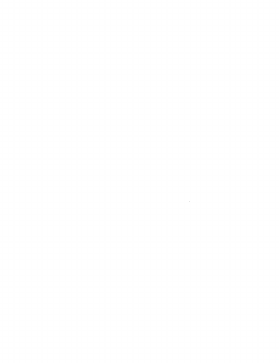$\label{eq:2.1} \frac{1}{\sqrt{2}}\int_{\mathbb{R}^3}\frac{1}{\sqrt{2}}\left(\frac{1}{\sqrt{2}}\right)^2\frac{1}{\sqrt{2}}\left(\frac{1}{\sqrt{2}}\right)^2\frac{1}{\sqrt{2}}\left(\frac{1}{\sqrt{2}}\right)^2\frac{1}{\sqrt{2}}\left(\frac{1}{\sqrt{2}}\right)^2.$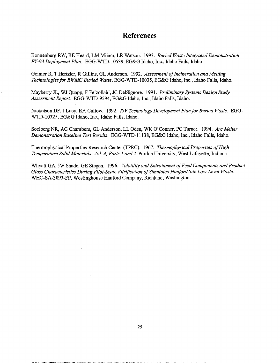### **References**

Bonnenberg RW, RE Heard, LM Milam, LR Watson. 1993. *Buried Waste Integrated Demonstration FY-93 Deployment Plan.* EGG-WTD-10539, EG&G Idaho, Inc., Idaho Falls, Idaho.

Geimer R, T Hertzler, R Gillins, GL Anderson. 1992. *Assessment of Incineration and Melting Technologies for RWMC Buried Waste.* EGG-WTD-10035, EG&G Idaho, Inc., Idaho Falls, Idaho.

Mayberry JL, WJ Quapp, F Feizollahi, JC DelSignore. 1991. *Preliminary Systems Design Study Assessment Report.* EGG-WTD-9594, EG&G Idaho, Inc., Idaho Falls, Idaho.

Nickelson DF, J Luey, RA Callow. 1992. *ISV Technology Development Plan for Buried Waste.* EGG-WTD-10325, EG&G Idaho, Inc., Idaho Falls, Idaho.

Soelberg NR, AG Chambers, GL Anderson, LL Oden, WK O'Conner, PC Turner. 1994. *Arc Melter Demonstration Baseline Test Results.* EGG-WTD-11138, EG&G Idaho, Inc., Idaho Falls, Idaho.

Thermophysical Properties Research Center (TPRC). 1967. *Thermophysical Properties of High Temperature Solid Materials. Vol. 4, Parts 1 and 2.* Purdue University, West Lafayette, Indiana.

Whyatt GA, JW Shade, GE Stegen. 1996. *Volatility and Entrainment of Feed Components and Product Glass Characteristics During Pilot-Scale Vitrification of Simulated Hanford Site Low-Level Waste.* WHC-SA-3093-FP, Westinghouse Hanford Company, Richland, Washington.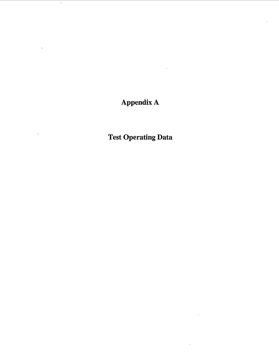**Appendix A**

 $\cdot$ 

 $\ddot{\phantom{0}}$ 

 $\overline{\phantom{a}}$ 

**Test Operating Data**

 $\mathbb{Z}$ 

 $\mathcal{L}$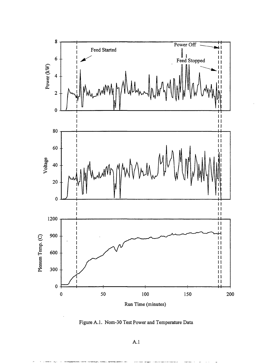

Figure A.I. Nom-30 Test Power and Temperature Data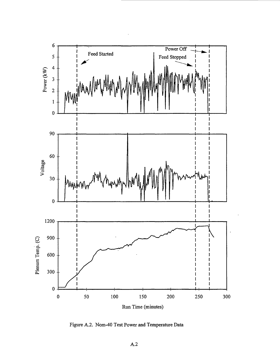

Figure A.2. Nom-40 Test Power and Temperature Data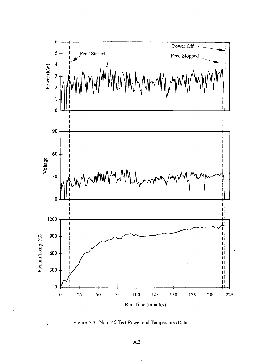

Figure A.3. Nom-45 Test Power and Temperature Data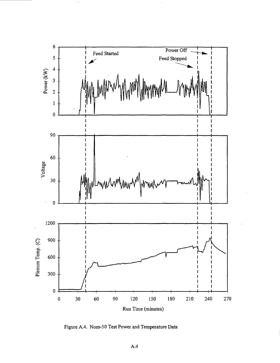

Figure A.4. Nom-50 Test Power and Temperature Data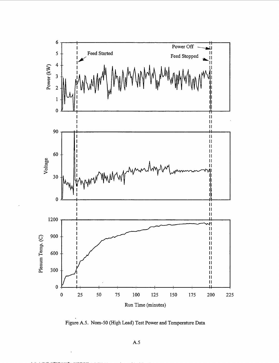

Figure A.5. Nom-50 (High Lead) Test Power and Temperature Data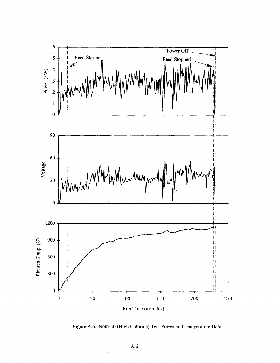

Figure A.6. Nom-50 (High Chloride) Test Power and Temperature Data